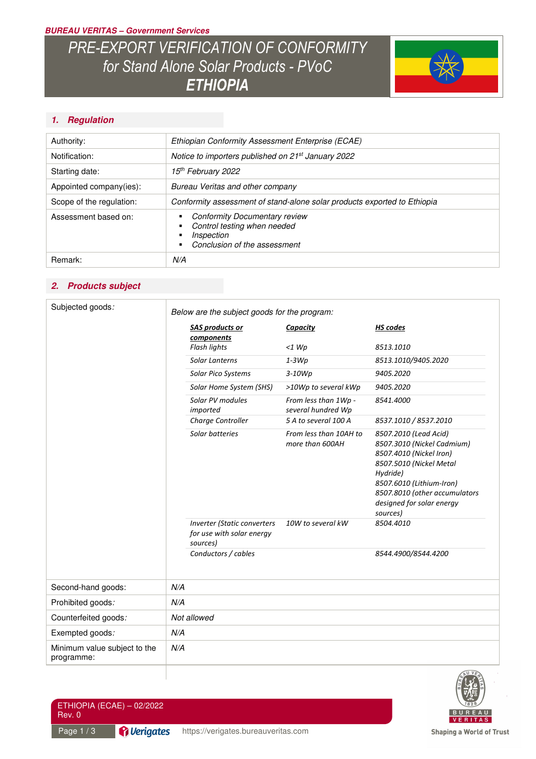### *BUREAU VERITAS – Government Services*

# *PRE-EXPORT VERIFICATION OF CONFORMITY for Stand Alone Solar Products - PVoC ETHIOPIA*



# *1. Regulation*

| Authority:               | Ethiopian Conformity Assessment Enterprise (ECAE)                                                                 |
|--------------------------|-------------------------------------------------------------------------------------------------------------------|
| Notification:            | Notice to importers published on 21 <sup>st</sup> January 2022                                                    |
| Starting date:           | 15 <sup>th</sup> February 2022                                                                                    |
| Appointed company(ies):  | Bureau Veritas and other company                                                                                  |
| Scope of the regulation: | Conformity assessment of stand-alone solar products exported to Ethiopia                                          |
| Assessment based on:     | <b>Conformity Documentary review</b><br>Control testing when needed<br>Inspection<br>Conclusion of the assessment |
| Remark:                  | N/A                                                                                                               |

# *2. Products subject*

| Subjected goods:                           |     | Below are the subject goods for the program:                                |                                            |                                                                                                                                                                                                                             |  |
|--------------------------------------------|-----|-----------------------------------------------------------------------------|--------------------------------------------|-----------------------------------------------------------------------------------------------------------------------------------------------------------------------------------------------------------------------------|--|
|                                            |     | <b>SAS products or</b><br>components                                        | Capacity                                   | <b>HS</b> codes                                                                                                                                                                                                             |  |
|                                            |     | Flash lights                                                                | $<1$ Wp                                    | 8513.1010                                                                                                                                                                                                                   |  |
|                                            |     | Solar Lanterns                                                              | $1-3Wp$                                    | 8513.1010/9405.2020                                                                                                                                                                                                         |  |
|                                            |     | Solar Pico Systems                                                          | $3-10Wp$                                   | 9405.2020                                                                                                                                                                                                                   |  |
|                                            |     | Solar Home System (SHS)                                                     | >10Wp to several kWp                       | 9405.2020                                                                                                                                                                                                                   |  |
|                                            |     | Solar PV modules<br>imported                                                | From less than 1Wp -<br>several hundred Wp | 8541.4000                                                                                                                                                                                                                   |  |
|                                            |     | Charge Controller                                                           | 5 A to several 100 A                       | 8537.1010 / 8537.2010                                                                                                                                                                                                       |  |
|                                            |     | Solar batteries                                                             | From less than 10AH to<br>more than 600AH  | 8507.2010 (Lead Acid)<br>8507.3010 (Nickel Cadmium)<br>8507.4010 (Nickel Iron)<br>8507.5010 (Nickel Metal<br>Hydride)<br>8507.6010 (Lithium-Iron)<br>8507.8010 (other accumulators<br>designed for solar energy<br>sources) |  |
|                                            |     | <b>Inverter (Static converters</b><br>for use with solar energy<br>sources) | 10W to several kW                          | 8504.4010                                                                                                                                                                                                                   |  |
|                                            |     | Conductors / cables                                                         |                                            | 8544.4900/8544.4200                                                                                                                                                                                                         |  |
| Second-hand goods:                         | N/A |                                                                             |                                            |                                                                                                                                                                                                                             |  |
| Prohibited goods:                          | N/A |                                                                             |                                            |                                                                                                                                                                                                                             |  |
| Counterfeited goods:                       |     | Not allowed                                                                 |                                            |                                                                                                                                                                                                                             |  |
| Exempted goods:                            | N/A |                                                                             |                                            |                                                                                                                                                                                                                             |  |
| Minimum value subject to the<br>programme: | N/A |                                                                             |                                            |                                                                                                                                                                                                                             |  |
|                                            |     |                                                                             |                                            | WAU VE                                                                                                                                                                                                                      |  |



ETHIOPIA (ECAE) – 02/2022 Rev. 0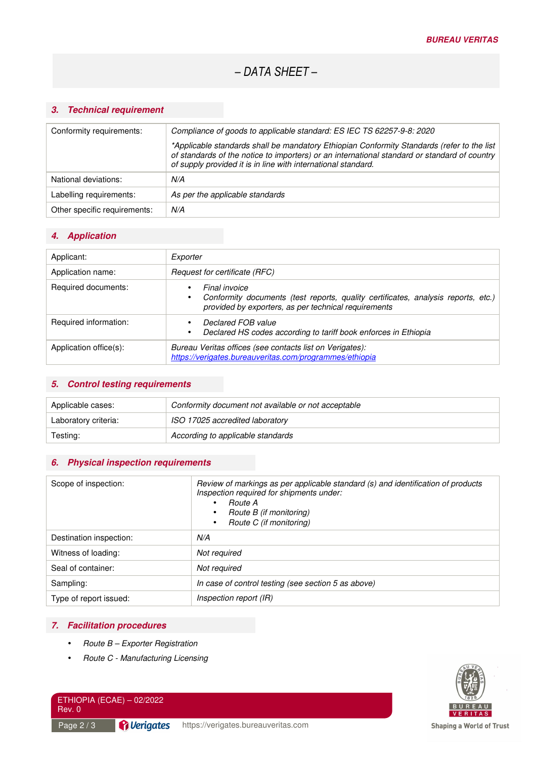# *3. Technical requirement*

| Conformity requirements:     | Compliance of goods to applicable standard: ES IEC TS 62257-9-8: 2020                                                                                                                                                                                       |
|------------------------------|-------------------------------------------------------------------------------------------------------------------------------------------------------------------------------------------------------------------------------------------------------------|
|                              | *Applicable standards shall be mandatory Ethiopian Conformity Standards (refer to the list<br>of standards of the notice to importers) or an international standard or standard of country<br>of supply provided it is in line with international standard. |
| National deviations:         | N/A                                                                                                                                                                                                                                                         |
| Labelling requirements:      | As per the applicable standards                                                                                                                                                                                                                             |
| Other specific requirements: | N/A                                                                                                                                                                                                                                                         |

#### *4. Application*

| Applicant:             | Exporter                                                                                                                                                             |
|------------------------|----------------------------------------------------------------------------------------------------------------------------------------------------------------------|
| Application name:      | Request for certificate (RFC)                                                                                                                                        |
| Required documents:    | Final invoice<br>٠<br>Conformity documents (test reports, quality certificates, analysis reports, etc.)<br>٠<br>provided by exporters, as per technical requirements |
| Required information:  | Declared FOB value<br>Declared HS codes according to tariff book enforces in Ethiopia<br>٠                                                                           |
| Application office(s): | Bureau Veritas offices (see contacts list on Verigates):<br>https://verigates.bureauveritas.com/programmes/ethiopia                                                  |

# *5. Control testing requirements*

| Applicable cases:    | Conformity document not available or not acceptable |
|----------------------|-----------------------------------------------------|
| Laboratory criteria: | ISO 17025 accredited laboratory                     |
| Testing:             | According to applicable standards                   |

# *6. Physical inspection requirements*

| Scope of inspection:    | Review of markings as per applicable standard (s) and identification of products<br>Inspection required for shipments under:<br><i>Route A</i><br>$\bullet$<br>Route B (if monitoring)<br>٠<br>Route C (if monitoring)<br>$\bullet$ |
|-------------------------|-------------------------------------------------------------------------------------------------------------------------------------------------------------------------------------------------------------------------------------|
| Destination inspection: | N/A                                                                                                                                                                                                                                 |
| Witness of loading:     | Not required                                                                                                                                                                                                                        |
| Seal of container:      | Not required                                                                                                                                                                                                                        |
| Sampling:               | In case of control testing (see section 5 as above)                                                                                                                                                                                 |
| Type of report issued:  | Inspection report (IR)                                                                                                                                                                                                              |

### *7. Facilitation procedures*

- *Route B Exporter Registration*
- *Route C Manufacturing Licensing*



ETHIOPIA (ECAE) – 02/2022 Rev. 0

*P* Verigates Page 2 / 3 **Puller dates** https://verigates.bureauveritas.com